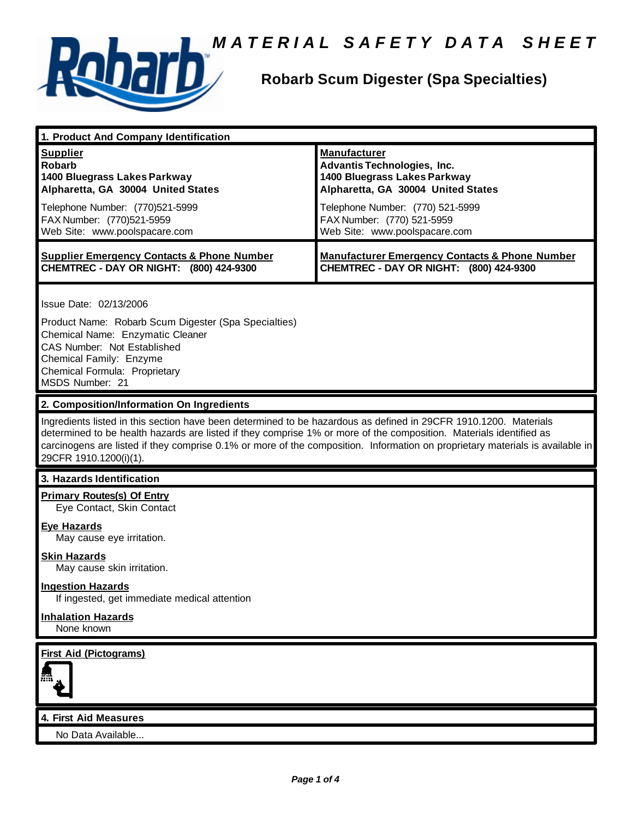

# **A** *MATERIAL SAFETY DATA SHEET*<br>Robarb Scum Digester (Spa Specialties)

## **Robarb Scum Digester (Spa Specialties)**

| 1. Product And Company Identification                                                                                                                                                                                                                                                                                                                                                             |                                                                                                                                 |
|---------------------------------------------------------------------------------------------------------------------------------------------------------------------------------------------------------------------------------------------------------------------------------------------------------------------------------------------------------------------------------------------------|---------------------------------------------------------------------------------------------------------------------------------|
| <b>Supplier</b><br><b>Robarb</b><br>1400 Bluegrass Lakes Parkway<br>Alpharetta, GA 30004 United States                                                                                                                                                                                                                                                                                            | <b>Manufacturer</b><br><b>Advantis Technologies, Inc.</b><br>1400 Bluegrass Lakes Parkway<br>Alpharetta, GA 30004 United States |
| Telephone Number: (770)521-5999<br>FAX Number: (770)521-5959<br>Web Site: www.poolspacare.com                                                                                                                                                                                                                                                                                                     | Telephone Number: (770) 521-5999<br>FAX Number: (770) 521-5959<br>Web Site: www.poolspacare.com                                 |
| <b>Supplier Emergency Contacts &amp; Phone Number</b><br>CHEMTREC - DAY OR NIGHT: (800) 424-9300                                                                                                                                                                                                                                                                                                  | <b>Manufacturer Emergency Contacts &amp; Phone Number</b><br>CHEMTREC - DAY OR NIGHT: (800) 424-9300                            |
| Issue Date: 02/13/2006                                                                                                                                                                                                                                                                                                                                                                            |                                                                                                                                 |
| Product Name: Robarb Scum Digester (Spa Specialties)<br>Chemical Name: Enzymatic Cleaner<br>CAS Number: Not Established<br>Chemical Family: Enzyme<br>Chemical Formula: Proprietary<br>MSDS Number: 21                                                                                                                                                                                            |                                                                                                                                 |
| 2. Composition/Information On Ingredients                                                                                                                                                                                                                                                                                                                                                         |                                                                                                                                 |
| Ingredients listed in this section have been determined to be hazardous as defined in 29CFR 1910.1200. Materials<br>determined to be health hazards are listed if they comprise 1% or more of the composition. Materials identified as<br>carcinogens are listed if they comprise 0.1% or more of the composition. Information on proprietary materials is available in<br>29CFR 1910.1200(i)(1). |                                                                                                                                 |
| 3. Hazards Identification                                                                                                                                                                                                                                                                                                                                                                         |                                                                                                                                 |
|                                                                                                                                                                                                                                                                                                                                                                                                   |                                                                                                                                 |
| <b>Primary Routes(s) Of Entry</b><br>Eye Contact, Skin Contact                                                                                                                                                                                                                                                                                                                                    |                                                                                                                                 |
| <b>Eye Hazards</b><br>May cause eye irritation.                                                                                                                                                                                                                                                                                                                                                   |                                                                                                                                 |
| <b>Skin Hazards</b><br>May cause skin irritation.                                                                                                                                                                                                                                                                                                                                                 |                                                                                                                                 |
| <b>Ingestion Hazards</b><br>If ingested, get immediate medical attention                                                                                                                                                                                                                                                                                                                          |                                                                                                                                 |
| <b>Inhalation Hazards</b><br>None known                                                                                                                                                                                                                                                                                                                                                           |                                                                                                                                 |



#### **4. First Aid Measures**

No Data Available...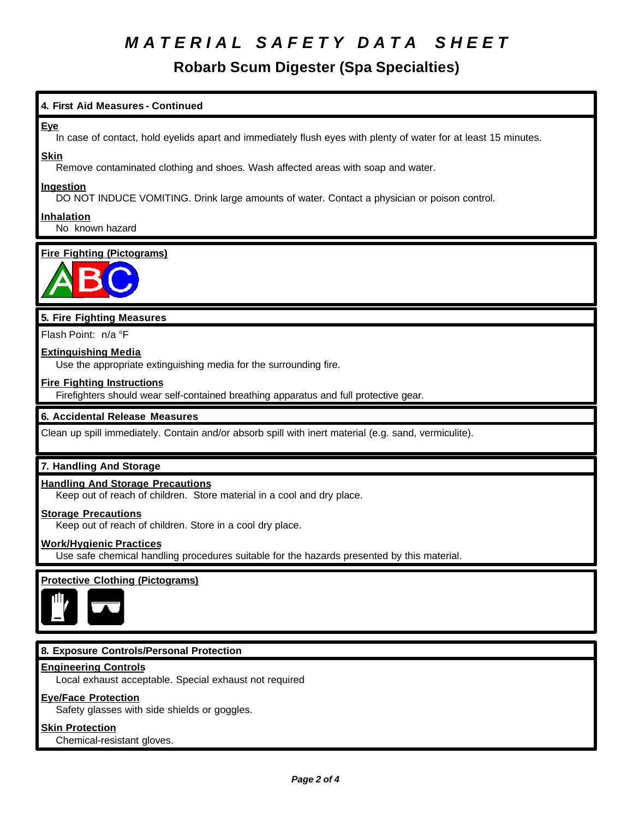## *M A T E R I A L S A F E T Y D A T A S H E E T*

### **Robarb Scum Digester (Spa Specialties)**

#### **4. First Aid Measures - Continued**

#### **Eye**

In case of contact, hold eyelids apart and immediately flush eyes with plenty of water for at least 15 minutes.

#### **Skin**

Remove contaminated clothing and shoes. Wash affected areas with soap and water.

#### **Ingestion**

DO NOT INDUCE VOMITING. Drink large amounts of water. Contact a physician or poison control.

#### **Inhalation**

No known hazard

#### **Fire Fighting (Pictograms)**



#### **5. Fire Fighting Measures**

Flash Point: n/a °F

#### **Extinguishing Media**

Use the appropriate extinguishing media for the surrounding fire.

#### **Fire Fighting Instructions**

Firefighters should wear self-contained breathing apparatus and full protective gear.

#### **6. Accidental Release Measures**

Clean up spill immediately. Contain and/or absorb spill with inert material (e.g. sand, vermiculite).

#### **7. Handling And Storage**

#### **Handling And Storage Precautions**

Keep out of reach of children. Store material in a cool and dry place.

#### **Storage Precautions**

Keep out of reach of children. Store in a cool dry place.

#### **Work/Hygienic Practices**

Use safe chemical handling procedures suitable for the hazards presented by this material.

#### **Protective Clothing (Pictograms)**



#### **8. Exposure Controls/Personal Protection**

#### **Engineering Controls**

Local exhaust acceptable. Special exhaust not required

#### **Eye/Face Protection**

Safety glasses with side shields or goggles.

#### **Skin Protection**

Chemical-resistant gloves.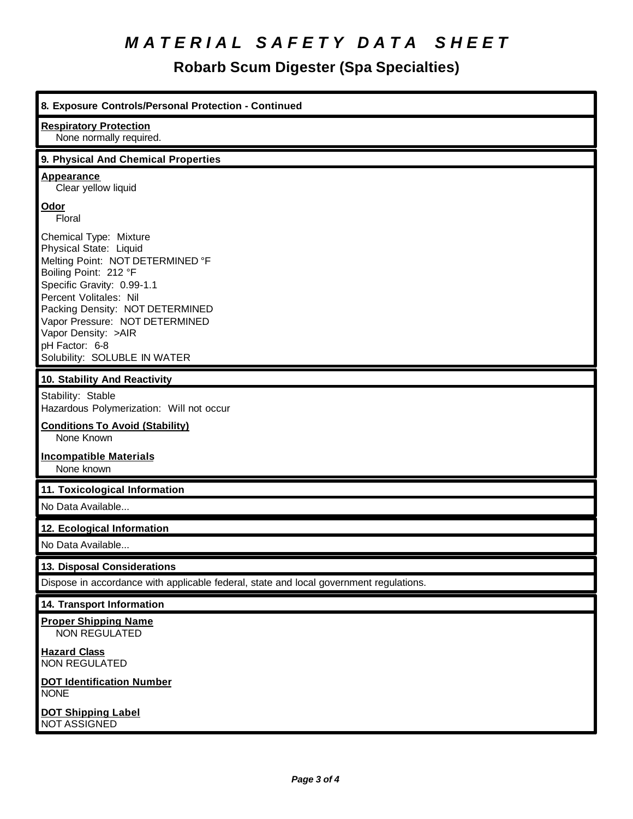## *M A T E R I A L S A F E T Y D A T A S H E E T*

**Robarb Scum Digester (Spa Specialties)**

| 8. Exposure Controls/Personal Protection - Continued                                                                                                                                                                                                                                                                |
|---------------------------------------------------------------------------------------------------------------------------------------------------------------------------------------------------------------------------------------------------------------------------------------------------------------------|
| <b>Respiratory Protection</b><br>None normally required.                                                                                                                                                                                                                                                            |
| 9. Physical And Chemical Properties                                                                                                                                                                                                                                                                                 |
| <b>Appearance</b><br>Clear yellow liquid                                                                                                                                                                                                                                                                            |
| Odor<br>Floral                                                                                                                                                                                                                                                                                                      |
| Chemical Type: Mixture<br>Physical State: Liquid<br>Melting Point: NOT DETERMINED °F<br>Boiling Point: 212 °F<br>Specific Gravity: 0.99-1.1<br>Percent Volitales: Nil<br>Packing Density: NOT DETERMINED<br>Vapor Pressure: NOT DETERMINED<br>Vapor Density: >AIR<br>pH Factor: 6-8<br>Solubility: SOLUBLE IN WATER |
| 10. Stability And Reactivity                                                                                                                                                                                                                                                                                        |
| Stability: Stable<br>Hazardous Polymerization: Will not occur<br><b>Conditions To Avoid (Stability)</b><br>None Known<br><b>Incompatible Materials</b>                                                                                                                                                              |
| None known                                                                                                                                                                                                                                                                                                          |
| 11. Toxicological Information                                                                                                                                                                                                                                                                                       |
| No Data Available                                                                                                                                                                                                                                                                                                   |
| 12. Ecological Information                                                                                                                                                                                                                                                                                          |
| No Data Available                                                                                                                                                                                                                                                                                                   |
| 13. Disposal Considerations                                                                                                                                                                                                                                                                                         |
| Dispose in accordance with applicable federal, state and local government regulations.                                                                                                                                                                                                                              |
| 14. Transport Information                                                                                                                                                                                                                                                                                           |
| <b>Proper Shipping Name</b><br><b>NON REGULATED</b>                                                                                                                                                                                                                                                                 |
| <b>Hazard Class</b><br><b>NON REGULATED</b>                                                                                                                                                                                                                                                                         |
| <b>DOT Identification Number</b><br><b>NONE</b>                                                                                                                                                                                                                                                                     |
| <b>DOT Shipping Label</b><br>NOT ASSIGNED                                                                                                                                                                                                                                                                           |